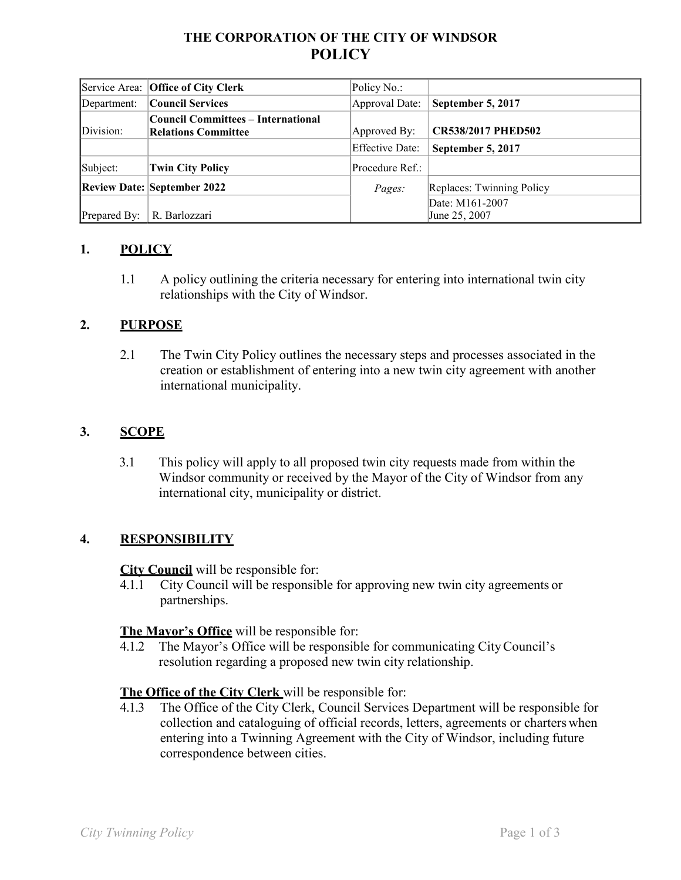# **THE CORPORATION OF THE CITY OF WINDSOR POLICY**

|              | Service Area: Office of City Clerk                               | Policy No.:     |                                  |
|--------------|------------------------------------------------------------------|-----------------|----------------------------------|
| Department:  | Council Services                                                 | Approval Date:  | September 5, 2017                |
| Division:    | Council Committees – International<br><b>Relations Committee</b> | Approved By:    | <b>CR538/2017 PHED502</b>        |
|              |                                                                  | Effective Date: | September 5, 2017                |
| Subject:     | <b>Twin City Policy</b>                                          | Procedure Ref.: |                                  |
|              | <b>Review Date: September 2022</b>                               | <i>Pages:</i>   | Replaces: Twinning Policy        |
| Prepared By: | R. Barlozzari                                                    |                 | Date: M161-2007<br>June 25, 2007 |

## **1. POLICY**

1.1 A policy outlining the criteria necessary for entering into international twin city relationships with the City of Windsor.

## **2. PURPOSE**

2.1 The Twin City Policy outlines the necessary steps and processes associated in the creation or establishment of entering into a new twin city agreement with another international municipality.

# **3. SCOPE**

3.1 This policy will apply to all proposed twin city requests made from within the Windsor community or received by the Mayor of the City of Windsor from any international city, municipality or district.

#### **4. RESPONSIBILITY**

**City Council** will be responsible for:

4.1.1 City Council will be responsible for approving new twin city agreements or partnerships.

#### **The Mayor's Office** will be responsible for:

4.1.2 The Mayor's Office will be responsible for communicating CityCouncil's resolution regarding a proposed new twin city relationship.

#### **The Office of the City Clerk** will be responsible for:

4.1.3 The Office of the City Clerk, Council Services Department will be responsible for collection and cataloguing of official records, letters, agreements or charters when entering into a Twinning Agreement with the City of Windsor, including future correspondence between cities.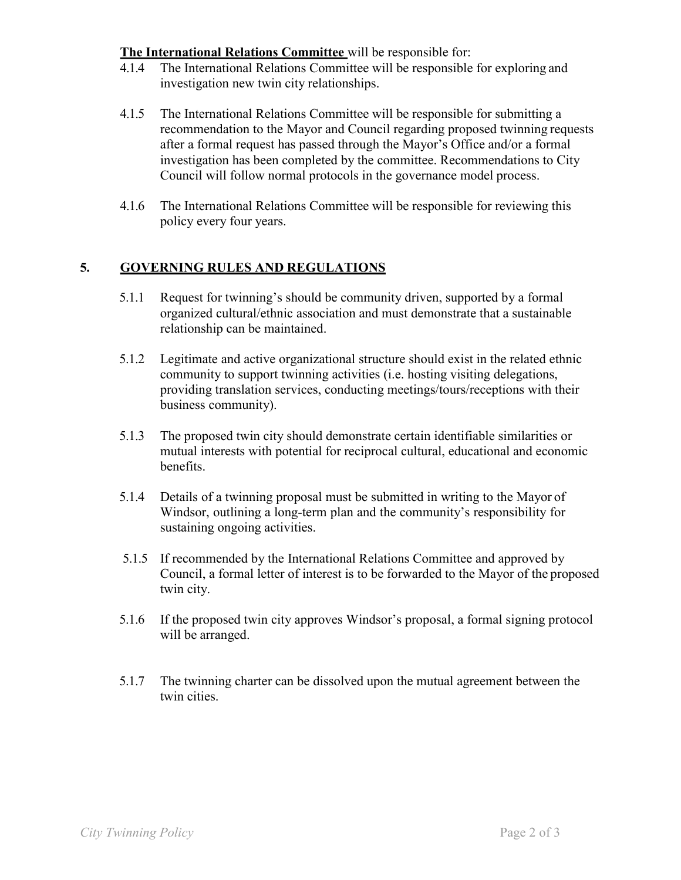## **The International Relations Committee** will be responsible for:

- 4.1.4 The International Relations Committee will be responsible for exploring and investigation new twin city relationships.
- 4.1.5 The International Relations Committee will be responsible for submitting a recommendation to the Mayor and Council regarding proposed twinning requests after a formal request has passed through the Mayor's Office and/or a formal investigation has been completed by the committee. Recommendations to City Council will follow normal protocols in the governance model process.
- 4.1.6 The International Relations Committee will be responsible for reviewing this policy every four years.

# **5. GOVERNING RULES AND REGULATIONS**

- 5.1.1 Request for twinning's should be community driven, supported by a formal organized cultural/ethnic association and must demonstrate that a sustainable relationship can be maintained.
- 5.1.2 Legitimate and active organizational structure should exist in the related ethnic community to support twinning activities (i.e. hosting visiting delegations, providing translation services, conducting meetings/tours/receptions with their business community).
- 5.1.3 The proposed twin city should demonstrate certain identifiable similarities or mutual interests with potential for reciprocal cultural, educational and economic benefits.
- 5.1.4 Details of a twinning proposal must be submitted in writing to the Mayor of Windsor, outlining a long-term plan and the community's responsibility for sustaining ongoing activities.
- 5.1.5 If recommended by the International Relations Committee and approved by Council, a formal letter of interest is to be forwarded to the Mayor of the proposed twin city.
- 5.1.6 If the proposed twin city approves Windsor's proposal, a formal signing protocol will be arranged.
- 5.1.7 The twinning charter can be dissolved upon the mutual agreement between the twin cities.